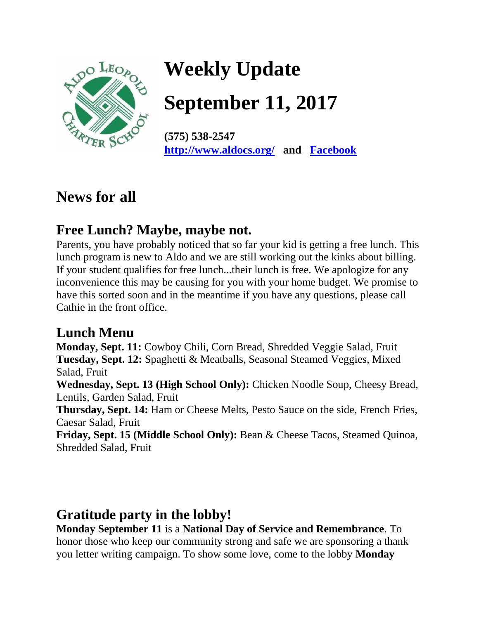

# **Weekly Update**

**September 11, 2017** 

**(575) 538-2547 <http://www.aldocs.org/>and [Facebook](https://www.facebook.com/search/top/?q=aldo%20leopold%20charter%20school)**

## **News for all**

#### **Free Lunch? Maybe, maybe not.**

Parents, you have probably noticed that so far your kid is getting a free lunch. This lunch program is new to Aldo and we are still working out the kinks about billing. If your student qualifies for free lunch...their lunch is free. We apologize for any inconvenience this may be causing for you with your home budget. We promise to have this sorted soon and in the meantime if you have any questions, please call Cathie in the front office.

#### **Lunch Menu**

**Monday, Sept. 11:** Cowboy Chili, Corn Bread, Shredded Veggie Salad, Fruit **Tuesday, Sept. 12:** Spaghetti & Meatballs, Seasonal Steamed Veggies, Mixed Salad, Fruit

**Wednesday, Sept. 13 (High School Only):** Chicken Noodle Soup, Cheesy Bread, Lentils, Garden Salad, Fruit

**Thursday, Sept. 14:** Ham or Cheese Melts, Pesto Sauce on the side, French Fries, Caesar Salad, Fruit

**Friday, Sept. 15 (Middle School Only):** Bean & Cheese Tacos, Steamed Quinoa, Shredded Salad, Fruit

#### **Gratitude party in the lobby!**

**Monday September 11** is a **National Day of Service and Remembrance**. To honor those who keep our community strong and safe we are sponsoring a thank you letter writing campaign. To show some love, come to the lobby **Monday**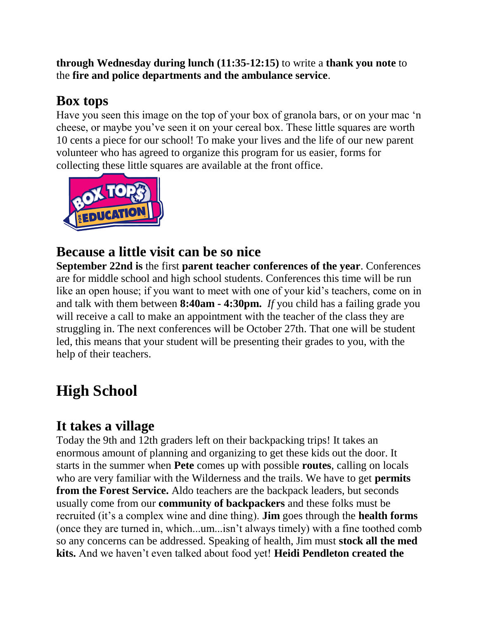**through Wednesday during lunch (11:35-12:15)** to write a **thank you note** to the **fire and police departments and the ambulance service**.

#### **Box tops**

Have you seen this image on the top of your box of granola bars, or on your mac 'n cheese, or maybe you've seen it on your cereal box. These little squares are worth 10 cents a piece for our school! To make your lives and the life of our new parent volunteer who has agreed to organize this program for us easier, forms for collecting these little squares are available at the front office.



#### **Because a little visit can be so nice**

**September 22nd is** the first **parent teacher conferences of the year**. Conferences are for middle school and high school students. Conferences this time will be run like an open house; if you want to meet with one of your kid's teachers, come on in and talk with them between **8:40am - 4:30pm.** *If* you child has a failing grade you will receive a call to make an appointment with the teacher of the class they are struggling in. The next conferences will be October 27th. That one will be student led, this means that your student will be presenting their grades to you, with the help of their teachers.

# **High School**

#### **It takes a village**

Today the 9th and 12th graders left on their backpacking trips! It takes an enormous amount of planning and organizing to get these kids out the door. It starts in the summer when **Pete** comes up with possible **routes**, calling on locals who are very familiar with the Wilderness and the trails. We have to get **permits from the Forest Service.** Aldo teachers are the backpack leaders, but seconds usually come from our **community of backpackers** and these folks must be recruited (it's a complex wine and dine thing). **Jim** goes through the **health forms** (once they are turned in, which...um...isn't always timely) with a fine toothed comb so any concerns can be addressed. Speaking of health, Jim must **stock all the med kits.** And we haven't even talked about food yet! **Heidi Pendleton created the**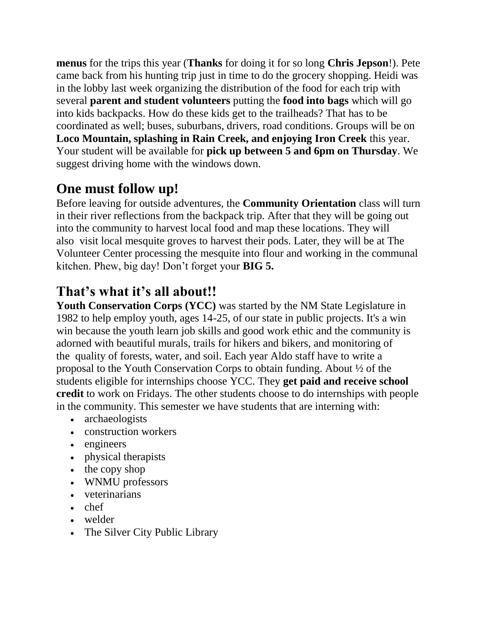**menus** for the trips this year (**Thanks** for doing it for so long **Chris Jepson**!). Pete came back from his hunting trip just in time to do the grocery shopping. Heidi was in the lobby last week organizing the distribution of the food for each trip with several **parent and student volunteers** putting the **food into bags** which will go into kids backpacks. How do these kids get to the trailheads? That has to be coordinated as well; buses, suburbans, drivers, road conditions. Groups will be on **Loco Mountain, splashing in Rain Creek, and enjoying Iron Creek** this year. Your student will be available for **pick up between 5 and 6pm on Thursday**. We suggest driving home with the windows down.

#### **One must follow up!**

Before leaving for outside adventures, the **Community Orientation** class will turn in their river reflections from the backpack trip. After that they will be going out into the community to harvest local food and map these locations. They will also visit local mesquite groves to harvest their pods. Later, they will be at The Volunteer Center processing the mesquite into flour and working in the communal kitchen. Phew, big day! Don't forget your **BIG 5.**

### **That's what it's all about!!**

**Youth Conservation Corps (YCC)** was started by the NM State Legislature in 1982 to help employ youth, ages 14-25, of our state in public projects. It's a win win because the youth learn job skills and good work ethic and the community is adorned with beautiful murals, trails for hikers and bikers, and monitoring of the quality of forests, water, and soil. Each year Aldo staff have to write a proposal to the Youth Conservation Corps to obtain funding. About ½ of the students eligible for internships choose YCC. They **get paid and receive school credit** to work on Fridays. The other students choose to do internships with people in the community. This semester we have students that are interning with:

- archaeologists
- construction workers
- engineers
- physical therapists
- the copy shop
- WNMU professors
- veterinarians
- chef
- welder
- The Silver City Public Library